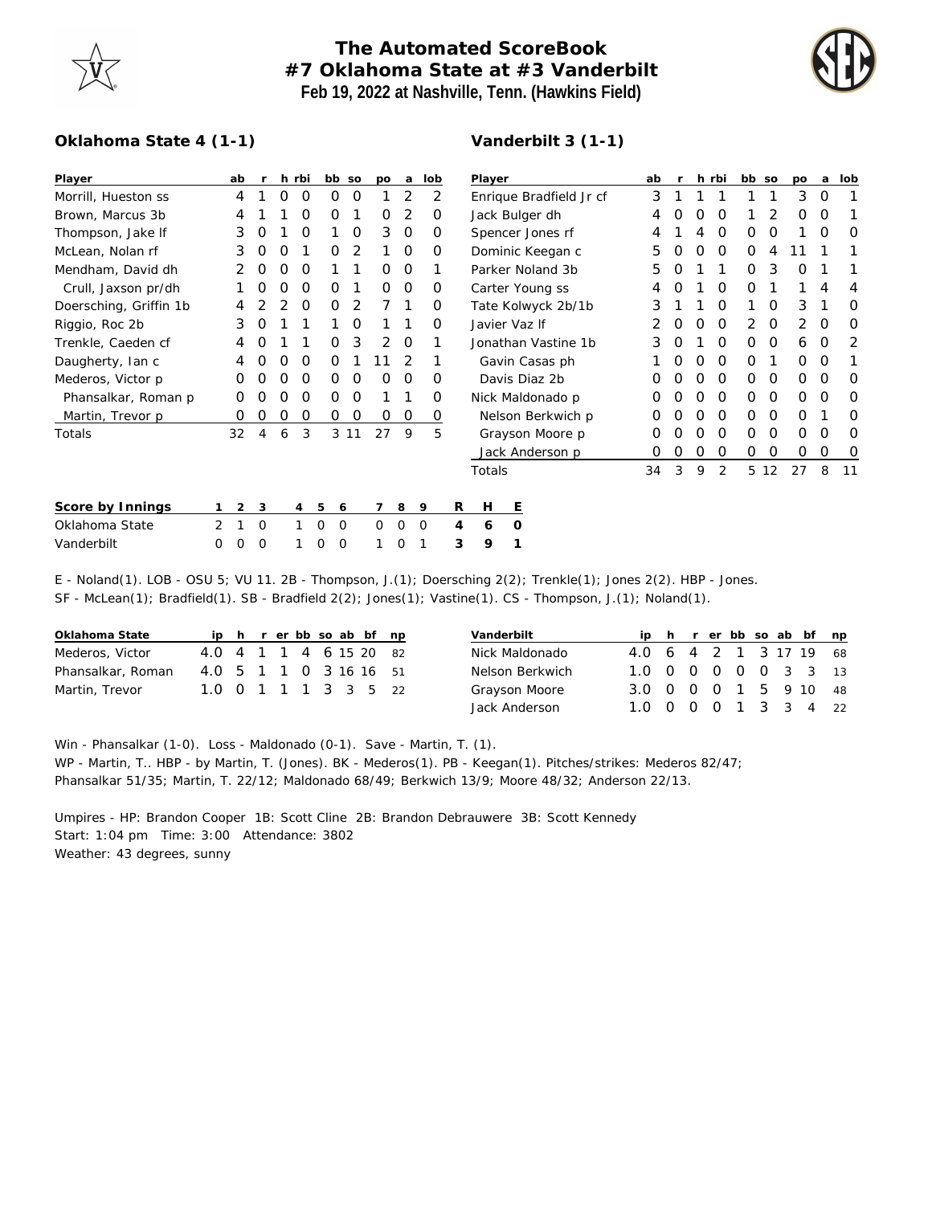

## **The Automated ScoreBook #7 Oklahoma State at #3 Vanderbilt Feb 19, 2022 at Nashville, Tenn. (Hawkins Field)**



## **Oklahoma State 4 (1-1)**

## **Vanderbilt 3 (1-1)**

| Player                 |                | ab |          |   | h rbi    |        | bb so    | po          | a |             | lob      |                     | Player                  |         |                 |  |   | ab |   |   | h rbi    | bb so    |          | po       | a        | lob |
|------------------------|----------------|----|----------|---|----------|--------|----------|-------------|---|-------------|----------|---------------------|-------------------------|---------|-----------------|--|---|----|---|---|----------|----------|----------|----------|----------|-----|
| Morrill, Hueston ss    |                | 4  |          | 0 | $\Omega$ | O      | O        |             | 2 |             | 2        |                     | Enrique Bradfield Jr cf |         |                 |  |   | 3  |   |   |          |          |          | 3        | $\Omega$ |     |
| Brown, Marcus 3b       |                | 4  |          |   | O        | 0      |          | 0           | 2 |             | 0        | Jack Bulger dh      |                         |         |                 |  |   | 4  |   | Ο | O        |          | 2        | 0        | O        |     |
| Thompson, Jake If      |                | 3  | 0        |   | $\Omega$ |        | $\Omega$ | 3           | 0 |             | 0        |                     | Spencer Jones rf        |         |                 |  |   | 4  |   | 4 | O        | O        | O        |          | O        |     |
| McLean, Nolan rf       |                | 3  | O        | Ο |          | 0      | 2        |             | 0 |             | $\Omega$ |                     | Dominic Keegan c        |         |                 |  |   | 5  |   | Ο | 0        | $\Omega$ | 4        |          |          |     |
| Mendham, David dh      |                | 2  | 0        | O | O        |        |          | 0           | 0 |             |          |                     | Parker Noland 3b        |         |                 |  |   | 5  |   |   |          | $\Omega$ | 3        | O        |          |     |
| Crull, Jaxson pr/dh    |                |    | O        | Ο | 0        | O      |          | 0           | 0 |             | 0        |                     | Carter Young ss         |         |                 |  |   |    |   |   | O        | 0        |          |          | 4        |     |
| Doersching, Griffin 1b |                | 4  |          |   | O        | O      | 2        |             |   |             | 0        |                     | Tate Kolwyck 2b/1b      |         |                 |  |   | 3  |   |   | O        |          | $\Omega$ | 3        |          |     |
| Riggio, Roc 2b         |                | 3  | O        |   |          |        | O        |             |   |             | O        |                     | Javier Vaz If           |         |                 |  |   |    | O | Ο | O        | 2        | $\Omega$ | 2        | $\Omega$ | O   |
| Trenkle, Caeden cf     |                | 4  | Ο        |   |          | 0      | 3        | 2           | 0 |             |          | Jonathan Vastine 1b |                         |         |                 |  | 3 | O  |   | 0 | $\Omega$ | $\Omega$ | 6        | $\Omega$ | 2        |     |
| Daugherty, Ian c       |                | 4  | 0        | Ο | O        | O      |          |             | 2 |             |          | Gavin Casas ph      |                         |         |                 |  |   |    | O | Ο | 0        | $\Omega$ |          | 0        | 0        |     |
| Mederos, Victor p      |                | 0  | O        | Ο | 0        | 0      | $\Omega$ | 0           | 0 |             | O        | Davis Diaz 2b       |                         |         |                 |  |   | O  |   | Ο | 0        | $\Omega$ | $\Omega$ | 0        | $\Omega$ | O   |
| Phansalkar, Roman p    |                | Ω  |          |   | O        | 0      | O        |             |   |             | O        | Nick Maldonado p    |                         |         |                 |  |   | O  |   | Ο | O        | $\Omega$ | $\Omega$ | 0        | O        |     |
| Martin, Trevor p       |                | O  | 0        | Ο | 0        | 0      | 0        | 0           | 0 |             | 0        | Nelson Berkwich p   |                         |         |                 |  |   | O  |   | Ο | O        | $\Omega$ | $\Omega$ | 0        |          | Ω   |
| Totals                 |                | 32 | 4        | 6 | 3        |        | 3 1 1    | 27          | 9 |             | 5        |                     |                         |         | Grayson Moore p |  |   | 0  | O | Ο | 0        | $\Omega$ | $\Omega$ | 0        | $\Omega$ | O   |
|                        |                |    |          |   |          |        |          |             |   |             |          |                     | Jack Anderson p         |         |                 |  |   | 0  | 0 | 0 | 0        | 0        | 0        | 0        | 0        | O   |
|                        |                |    |          |   |          |        |          |             |   |             |          |                     | Totals                  |         |                 |  |   | 34 | 3 | 9 | 2        |          | 5 12     | 27       | 8        | -11 |
| Score by Innings       |                | 2  | 3        |   | 4        | 5<br>6 |          | 7           | 8 | 9           |          | R                   | H                       | Ε       |                 |  |   |    |   |   |          |          |          |          |          |     |
| Oklahoma State         | $\overline{2}$ |    | 0        |   |          | 0<br>0 |          | $\mathbf 0$ | 0 | $\mathbf 0$ |          | 4                   | 6                       | $\circ$ |                 |  |   |    |   |   |          |          |          |          |          |     |
| Vanderbilt             | Ω              | Ω  | $\Omega$ |   |          | 0<br>0 |          |             | 0 |             |          | 3                   | 9                       |         |                 |  |   |    |   |   |          |          |          |          |          |     |

E - Noland(1). LOB - OSU 5; VU 11. 2B - Thompson, J.(1); Doersching 2(2); Trenkle(1); Jones 2(2). HBP - Jones. SF - McLean(1); Bradfield(1). SB - Bradfield 2(2); Jones(1); Vastine(1). CS - Thompson, J.(1); Noland(1).

| Oklahoma State    |                        |  |  |  | ip h r er bb so ab bf np |  |
|-------------------|------------------------|--|--|--|--------------------------|--|
| Mederos, Victor   | 4.0 4 1 1 4 6 15 20 82 |  |  |  |                          |  |
| Phansalkar, Roman | 4.0 5 1 1 0 3 16 16 51 |  |  |  |                          |  |
| Martin, Trevor    | 1.0 0 1 1 1 3 3 5 22   |  |  |  |                          |  |

|  |  |  |  | ip h r er bb so ab bf np<br>4.0 6 4 2 1 3 17 19 68<br>1.0 0 0 0 0 0 3 3 13<br>3.0 0 0 0 1 5 9 10 48<br>1.0 0 0 0 1 3 3 4 22 |
|--|--|--|--|-----------------------------------------------------------------------------------------------------------------------------|

Win - Phansalkar (1-0). Loss - Maldonado (0-1). Save - Martin, T. (1). WP - Martin, T.. HBP - by Martin, T. (Jones). BK - Mederos(1). PB - Keegan(1). Pitches/strikes: Mederos 82/47; Phansalkar 51/35; Martin, T. 22/12; Maldonado 68/49; Berkwich 13/9; Moore 48/32; Anderson 22/13.

Umpires - HP: Brandon Cooper 1B: Scott Cline 2B: Brandon Debrauwere 3B: Scott Kennedy Start: 1:04 pm Time: 3:00 Attendance: 3802 Weather: 43 degrees, sunny